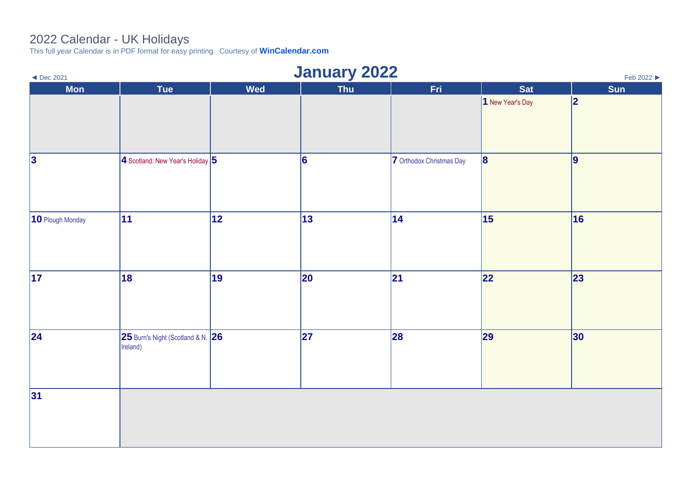## 2022 Calendar - UK Holidays

This full year Calendar is in PDF format for easy printing. Courtesy of **[WinCalendar.com](https://www.wincalendar.com/2022-Calendar-with-UK-Holidays)**

| $\blacktriangleleft$ Dec 2021 | <b>January 2022</b>                           |            |              |                          |                  | Feb 2022 ▶ |
|-------------------------------|-----------------------------------------------|------------|--------------|--------------------------|------------------|------------|
| <b>Mon</b>                    | Tue                                           | <b>Wed</b> | Thu          | Fri                      | <b>Sat</b>       | Sun        |
|                               |                                               |            |              |                          | 1 New Year's Day | 2          |
| 3                             | $4$ Scotland: New Year's Holiday $5$          |            | 6            | 7 Orthodox Christmas Day | 8                | 9          |
| 10 Plough Monday              | $ 11\rangle$                                  | 12         | 13           | $ 14\rangle$             | 15               | 16         |
| $\overline{17}$               | 18                                            | 19         | $ 20\rangle$ | 21                       | 22               | 23         |
| 24                            | 25 Burn's Night (Scotland & N. 26<br>Ireland) |            | 27           | 28                       | 29               | 30         |
| 31                            |                                               |            |              |                          |                  |            |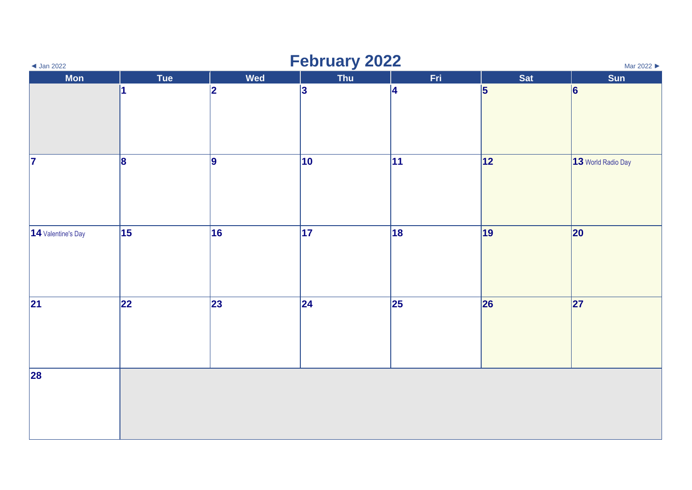| $\triangleleft$ Jan 2022 |           |            | <b>February 2022</b> |     |                 | Mar 2022           |
|--------------------------|-----------|------------|----------------------|-----|-----------------|--------------------|
| <b>Mon</b>               | Tue       | <b>Wed</b> | Thu                  | Fri | <b>Sat</b>      | Sun                |
|                          | 11        | 2          | 3                    | 4   | $\vert 5 \vert$ | 6                  |
| $\vert$ 7                | $\vert$ 8 | 9          | $ 10\rangle$         | 11  | 12              | 13 World Radio Day |
| 14 Valentine's Day       | 15        | 16         | 17                   | 18  | 19              | 20                 |
| 21                       | 22        | 23         | 24                   | 25  | 26              | 27                 |
| 28                       |           |            |                      |     |                 |                    |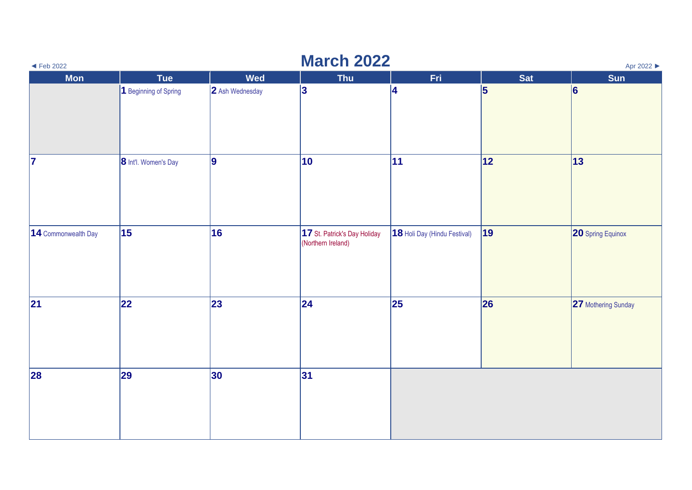| $\blacktriangleleft$ Feb 2022 |                       |                 | <b>March 2022</b>                                  |                              |            | Apr 2022                 |
|-------------------------------|-----------------------|-----------------|----------------------------------------------------|------------------------------|------------|--------------------------|
| <b>Mon</b>                    | Tue                   | <b>Wed</b>      | <b>Thu</b>                                         | Fri.                         | <b>Sat</b> | <b>Sun</b>               |
|                               | 1 Beginning of Spring | 2 Ash Wednesday | 3                                                  | 4                            | 5          | 6                        |
| $\overline{\mathbf{z}}$       | 8 Int'l. Women's Day  | 9               | $ 10\rangle$                                       | 11                           | 12         | $ 13\rangle$             |
| 14 Commonwealth Day           | 15                    | 16              | 17 St. Patrick's Day Holiday<br>(Northern Ireland) | 18 Holi Day (Hindu Festival) | 19         | <b>20 Spring Equinox</b> |
| 21                            | 22                    | 23              | 24                                                 | 25                           | 26         | 27 Mothering Sunday      |
| 28                            | 29                    | 30              | 31                                                 |                              |            |                          |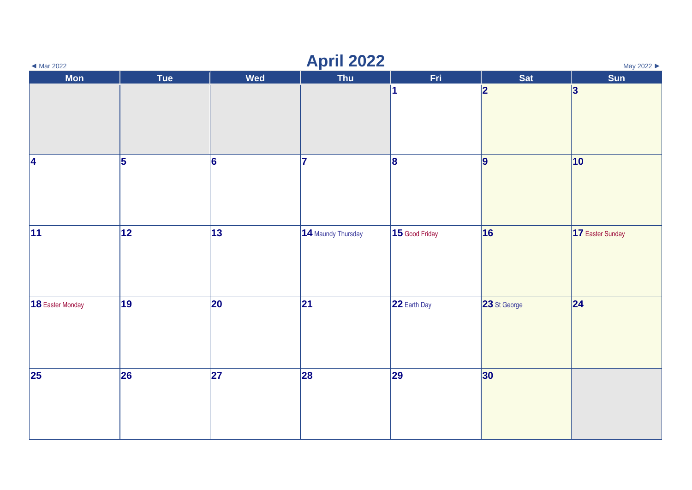| $\blacktriangleleft$ Mar 2022 |     |                 | <b>April 2022</b>  |                         |              | May 2022         |
|-------------------------------|-----|-----------------|--------------------|-------------------------|--------------|------------------|
| <b>Mon</b>                    | Tue | <b>Wed</b>      | Thu                | Fri.                    | <b>Sat</b>   | Sun              |
|                               |     |                 |                    | $\overline{\mathbf{1}}$ | 2            | 3                |
| 4                             | 5   | $\vert 6 \vert$ | 17                 | 8                       | $\vert$ 9    | $ 10\rangle$     |
| 11                            | 12  | $\vert$ 13      | 14 Maundy Thursday | $15$ Good Friday        | 16           | 17 Easter Sunday |
| 18 Easter Monday              | 19  | 20              | 21                 | 22 Earth Day            | 23 St George | 24               |
| 25                            | 26  | 27              | 28                 | 29                      | 30           |                  |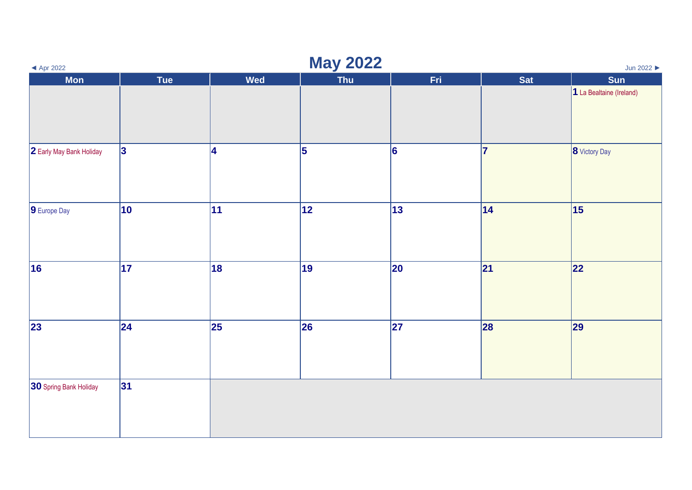| $\blacktriangleleft$ Apr 2022 |                 |                         | <b>May 2022</b> |                          |            | Jun 2022                 |
|-------------------------------|-----------------|-------------------------|-----------------|--------------------------|------------|--------------------------|
| <b>Mon</b>                    | <b>Tue</b>      | <b>Wed</b>              | <b>Thu</b>      | Fri.                     | <b>Sat</b> | Sun                      |
|                               |                 |                         |                 |                          |            | 1 La Bealtaine (Ireland) |
| 2 Early May Bank Holiday      | <sub>3</sub>    | $\overline{\mathbf{4}}$ | 5               | 6                        | 17         | 8 Victory Day            |
| 9 Europe Day                  | 10              | 11                      | 12              | 13                       | 14         | 15                       |
| 16                            | $\overline{17}$ | 18                      | 19              | 20                       | 21         | 22                       |
| 23                            | $\overline{24}$ | 25                      | 26              | $\overline{\mathbf{27}}$ | 28         | 29                       |
| 30 Spring Bank Holiday        | 31              |                         |                 |                          |            |                          |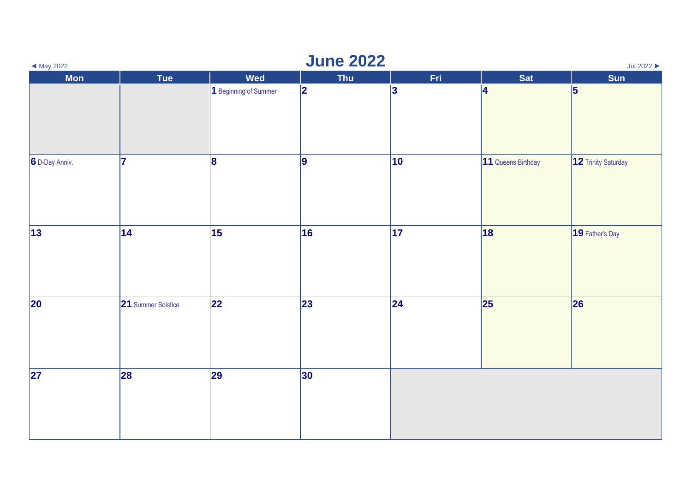| $\blacktriangleleft$ May 2022 |                    |                       | <b>June 2022</b> |     |                    | Jul 2022            |
|-------------------------------|--------------------|-----------------------|------------------|-----|--------------------|---------------------|
| <b>Mon</b>                    | Tue                | <b>Wed</b>            | <b>Thu</b>       | Fri | <b>Sat</b>         | Sun                 |
|                               |                    | 1 Beginning of Summer | 2                | 3   | 4                  | 5                   |
| 6 D-Day Anniv.                | 17                 | 8                     | 9                | 10  | 11 Queens Birthday | 12 Trinity Saturday |
| $ 13\rangle$                  | 14                 | 15                    | 16               | 17  | 18                 | 19 Father's Day     |
| 20                            | 21 Summer Solstice | 22                    | 23               | 24  | 25                 | 26                  |
| 27                            | 28                 | 29                    | 30               |     |                    |                     |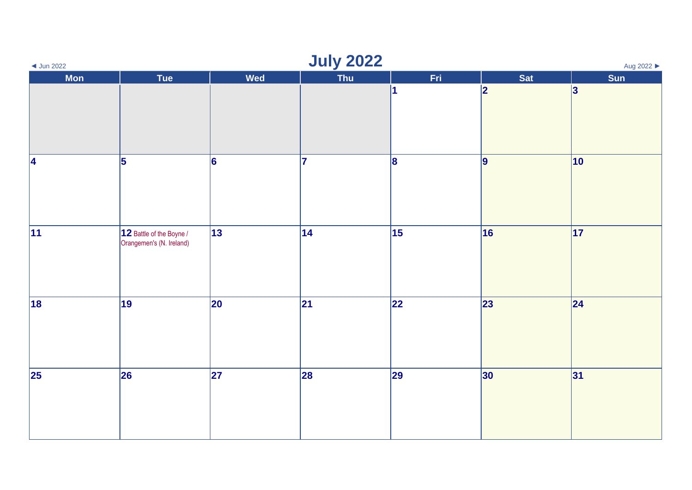| $\triangleleft$ Jun 2022 |                                                      |            | <b>July 2022</b> |                         |                 | Aug 2022     |
|--------------------------|------------------------------------------------------|------------|------------------|-------------------------|-----------------|--------------|
| <b>Mon</b>               | Tue                                                  | <b>Wed</b> | Thu              | Fri                     | Sat             | Sun          |
|                          |                                                      |            |                  | $\overline{\mathbf{1}}$ | 2               | 3            |
| 4                        | 5                                                    | 6          | 17               | 8                       | $\vert$ 9       | $ 10\rangle$ |
| $ 11\rangle$             | 12 Battle of the Boyne /<br>Orangemen's (N. Ireland) | 13         | 14               | 15                      | 16              | 17           |
| 18                       | 19                                                   | 20         | 21               | 22                      | 23              | 24           |
| $\vert$ 25               | 26                                                   | 27         | 28               | 29                      | 30 <sub>o</sub> | 31           |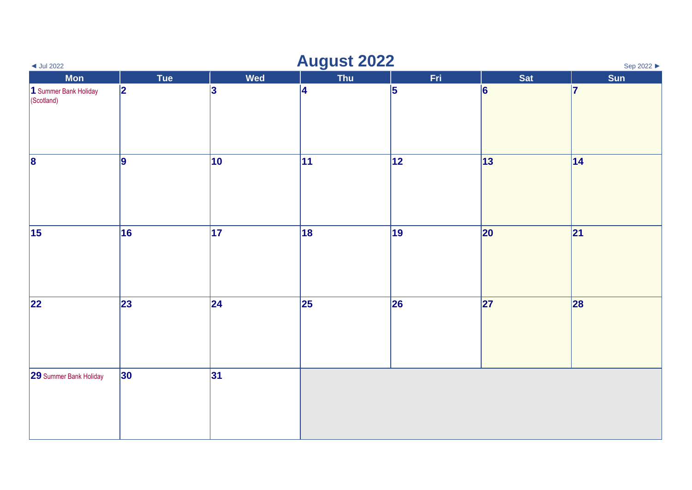| $\triangleleft$ Jul 2022            |                 |                         | <b>August 2022</b> |                 |     | Sep 2022 ▶ |
|-------------------------------------|-----------------|-------------------------|--------------------|-----------------|-----|------------|
| <b>Mon</b>                          | Tue             | <b>Wed</b>              | <b>Thu</b>         | Fri             | Sat | Sun        |
| 1 Summer Bank Holiday<br>(Scotland) | 2               | $\overline{\mathbf{3}}$ | 4                  | 5               | 6   | 17         |
| $\vert$ 8                           | 9               | 10                      | 11                 | $\overline{12}$ | 13  | 14         |
| $\vert$ 15                          | 16              | 17                      | 18                 | 19              | 20  | 21         |
| 22                                  | 23              | 24                      | 25                 | 26              | 27  | 28         |
| 29 Summer Bank Holiday              | 30 <sup>°</sup> | 31                      |                    |                 |     |            |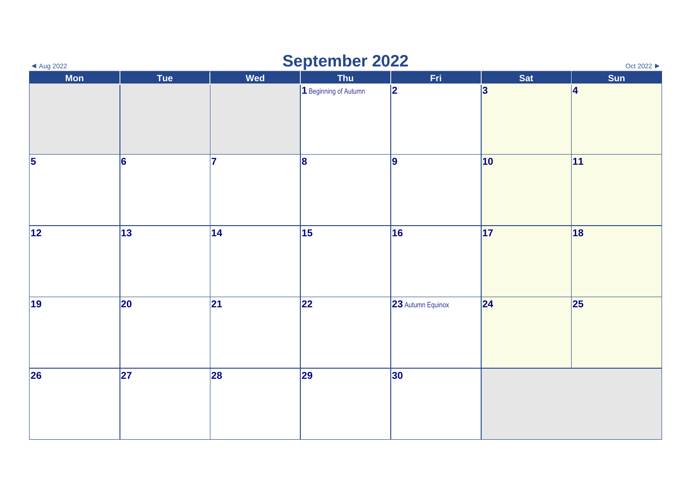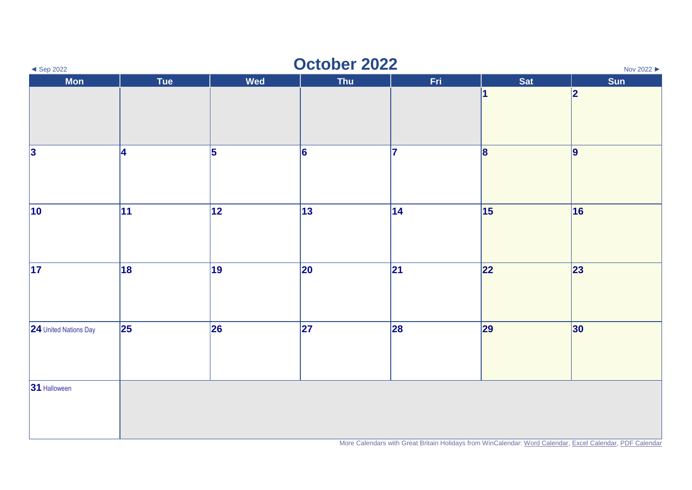| $\triangleleft$ Sep 2022 | October 2022<br>Nov 2022 ▶ |            |                 |      |                 |                                                                                                          |
|--------------------------|----------------------------|------------|-----------------|------|-----------------|----------------------------------------------------------------------------------------------------------|
| <b>Mon</b>               | Tue                        | <b>Wed</b> | <b>Thu</b>      | Fri. | Sat             | Sun                                                                                                      |
|                          |                            |            |                 |      | 1               | 2                                                                                                        |
| $\vert$ 3                | 4                          | 5          | $\vert 6 \vert$ | 7    | 8               | $\vert$ 9                                                                                                |
| $ 10\rangle$             | 11                         | 12         | 13              | 14   | $\overline{15}$ | 16                                                                                                       |
| $\vert$ 17               | 18                         | 19         | 20              | 21   | 22              | 23                                                                                                       |
| 24 United Nations Day    | $\vert$ 25                 | 26         | 27              | 28   | 29              | 30                                                                                                       |
| 31 Halloween             |                            |            |                 |      |                 | More Calendars with Great Britain Holidays from WinCalendar: Word Calendar, Excel Calendar, PDF Calendar |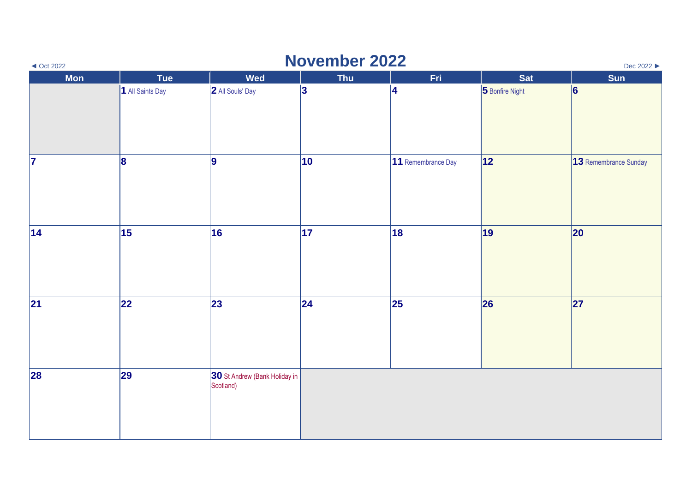| $\triangleleft$ Oct 2022 |                  |                                            | <b>November 2022</b> |                    |                 | Dec 2022 ▶            |
|--------------------------|------------------|--------------------------------------------|----------------------|--------------------|-----------------|-----------------------|
| <b>Mon</b>               | <b>Tue</b>       | <b>Wed</b>                                 | Thu                  | Fri                | <b>Sat</b>      | Sun                   |
|                          | 1 All Saints Day | 2 All Souls' Day                           | 3                    | 14                 | 5 Bonfire Night | 6                     |
| 7                        | 8                | 9                                          | $ 10\rangle$         | 11 Remembrance Day | 12              | 13 Remembrance Sunday |
| 14                       | $\vert$ 15       | 16                                         | 17                   | 18                 | 19              | 20                    |
| 21                       | 22               | 23                                         | 24                   | 25                 | 26              | 27                    |
| 28                       | 29               | 30 St Andrew (Bank Holiday in<br>Scotland) |                      |                    |                 |                       |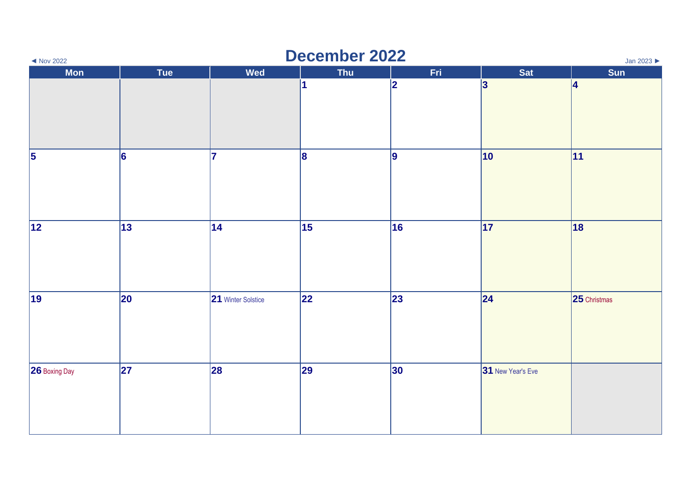